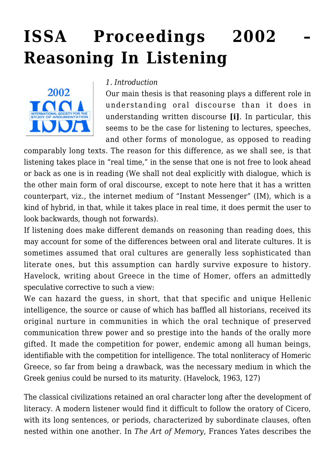# **[ISSA Proceedings 2002 –](https://rozenbergquarterly.com/issa-proceedings-2002-reasoning-in-listening/) [Reasoning In Listening](https://rozenbergquarterly.com/issa-proceedings-2002-reasoning-in-listening/)**



#### *1. Introduction*

Our main thesis is that reasoning plays a different role in understanding oral discourse than it does in understanding written discourse **[i]**. In particular, this seems to be the case for listening to lectures, speeches, and other forms of monologue, as opposed to reading

comparably long texts. The reason for this difference, as we shall see, is that listening takes place in "real time," in the sense that one is not free to look ahead or back as one is in reading (We shall not deal explicitly with dialogue, which is the other main form of oral discourse, except to note here that it has a written counterpart, viz., the internet medium of "Instant Messenger" (IM), which is a kind of hybrid, in that, while it takes place in real time, it does permit the user to look backwards, though not forwards).

If listening does make different demands on reasoning than reading does, this may account for some of the differences between oral and literate cultures. It is sometimes assumed that oral cultures are generally less sophisticated than literate ones, but this assumption can hardly survive exposure to history. Havelock, writing about Greece in the time of Homer, offers an admittedly speculative corrective to such a view:

We can hazard the guess, in short, that that specific and unique Hellenic intelligence, the source or cause of which has baffled all historians, received its original nurture in communities in which the oral technique of preserved communication threw power and so prestige into the hands of the orally more gifted. It made the competition for power, endemic among all human beings, identifiable with the competition for intelligence. The total nonliteracy of Homeric Greece, so far from being a drawback, was the necessary medium in which the Greek genius could be nursed to its maturity. (Havelock, 1963, 127)

The classical civilizations retained an oral character long after the development of literacy. A modern listener would find it difficult to follow the oratory of Cicero, with its long sentences, or periods, characterized by subordinate clauses, often nested within one another. In *The Art of Memory*, Frances Yates describes the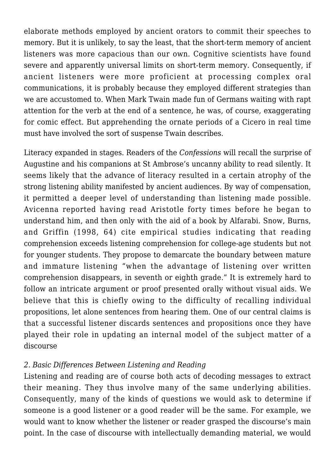elaborate methods employed by ancient orators to commit their speeches to memory. But it is unlikely, to say the least, that the short-term memory of ancient listeners was more capacious than our own. Cognitive scientists have found severe and apparently universal limits on short-term memory. Consequently, if ancient listeners were more proficient at processing complex oral communications, it is probably because they employed different strategies than we are accustomed to. When Mark Twain made fun of Germans waiting with rapt attention for the verb at the end of a sentence, he was, of course, exaggerating for comic effect. But apprehending the ornate periods of a Cicero in real time must have involved the sort of suspense Twain describes.

Literacy expanded in stages. Readers of the *Confessions* will recall the surprise of Augustine and his companions at St Ambrose's uncanny ability to read silently. It seems likely that the advance of literacy resulted in a certain atrophy of the strong listening ability manifested by ancient audiences. By way of compensation, it permitted a deeper level of understanding than listening made possible. Avicenna reported having read Aristotle forty times before he began to understand him, and then only with the aid of a book by Alfarabi. Snow, Burns, and Griffin (1998, 64) cite empirical studies indicating that reading comprehension exceeds listening comprehension for college-age students but not for younger students. They propose to demarcate the boundary between mature and immature listening "when the advantage of listening over written comprehension disappears, in seventh or eighth grade." It is extremely hard to follow an intricate argument or proof presented orally without visual aids. We believe that this is chiefly owing to the difficulty of recalling individual propositions, let alone sentences from hearing them. One of our central claims is that a successful listener discards sentences and propositions once they have played their role in updating an internal model of the subject matter of a discourse

## *2. Basic Differences Between Listening and Reading*

Listening and reading are of course both acts of decoding messages to extract their meaning. They thus involve many of the same underlying abilities. Consequently, many of the kinds of questions we would ask to determine if someone is a good listener or a good reader will be the same. For example, we would want to know whether the listener or reader grasped the discourse's main point. In the case of discourse with intellectually demanding material, we would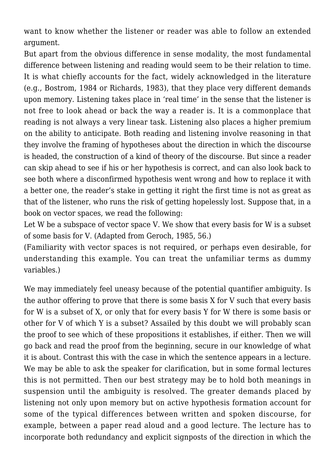want to know whether the listener or reader was able to follow an extended argument.

But apart from the obvious difference in sense modality, the most fundamental difference between listening and reading would seem to be their relation to time. It is what chiefly accounts for the fact, widely acknowledged in the literature (e.g., Bostrom, 1984 or Richards, 1983), that they place very different demands upon memory. Listening takes place in 'real time' in the sense that the listener is not free to look ahead or back the way a reader is. It is a commonplace that reading is not always a very linear task. Listening also places a higher premium on the ability to anticipate. Both reading and listening involve reasoning in that they involve the framing of hypotheses about the direction in which the discourse is headed, the construction of a kind of theory of the discourse. But since a reader can skip ahead to see if his or her hypothesis is correct, and can also look back to see both where a disconfirmed hypothesis went wrong and how to replace it with a better one, the reader's stake in getting it right the first time is not as great as that of the listener, who runs the risk of getting hopelessly lost. Suppose that, in a book on vector spaces, we read the following:

Let W be a subspace of vector space V. We show that every basis for W is a subset of some basis for V. (Adapted from Geroch, 1985, 56.)

(Familiarity with vector spaces is not required, or perhaps even desirable, for understanding this example. You can treat the unfamiliar terms as dummy variables.)

We may immediately feel uneasy because of the potential quantifier ambiguity. Is the author offering to prove that there is some basis X for V such that every basis for W is a subset of X, or only that for every basis Y for W there is some basis or other for V of which Y is a subset? Assailed by this doubt we will probably scan the proof to see which of these propositions it establishes, if either. Then we will go back and read the proof from the beginning, secure in our knowledge of what it is about. Contrast this with the case in which the sentence appears in a lecture. We may be able to ask the speaker for clarification, but in some formal lectures this is not permitted. Then our best strategy may be to hold both meanings in suspension until the ambiguity is resolved. The greater demands placed by listening not only upon memory but on active hypothesis formation account for some of the typical differences between written and spoken discourse, for example, between a paper read aloud and a good lecture. The lecture has to incorporate both redundancy and explicit signposts of the direction in which the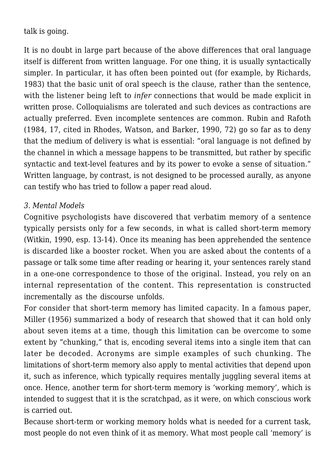talk is going.

It is no doubt in large part because of the above differences that oral language itself is different from written language. For one thing, it is usually syntactically simpler. In particular, it has often been pointed out (for example, by Richards, 1983) that the basic unit of oral speech is the clause, rather than the sentence, with the listener being left to *infer* connections that would be made explicit in written prose. Colloquialisms are tolerated and such devices as contractions are actually preferred. Even incomplete sentences are common. Rubin and Rafoth (1984, 17, cited in Rhodes, Watson, and Barker, 1990, 72) go so far as to deny that the medium of delivery is what is essential: "oral language is not defined by the channel in which a message happens to be transmitted, but rather by specific syntactic and text-level features and by its power to evoke a sense of situation." Written language, by contrast, is not designed to be processed aurally, as anyone can testify who has tried to follow a paper read aloud.

### *3. Mental Models*

Cognitive psychologists have discovered that verbatim memory of a sentence typically persists only for a few seconds, in what is called short-term memory (Witkin, 1990, esp. 13-14). Once its meaning has been apprehended the sentence is discarded like a booster rocket. When you are asked about the contents of a passage or talk some time after reading or hearing it, your sentences rarely stand in a one-one correspondence to those of the original. Instead, you rely on an internal representation of the content. This representation is constructed incrementally as the discourse unfolds.

For consider that short-term memory has limited capacity. In a famous paper, Miller (1956) summarized a body of research that showed that it can hold only about seven items at a time, though this limitation can be overcome to some extent by "chunking," that is, encoding several items into a single item that can later be decoded. Acronyms are simple examples of such chunking. The limitations of short-term memory also apply to mental activities that depend upon it, such as inference, which typically requires mentally juggling several items at once. Hence, another term for short-term memory is 'working memory', which is intended to suggest that it is the scratchpad, as it were, on which conscious work is carried out.

Because short-term or working memory holds what is needed for a current task, most people do not even think of it as memory. What most people call 'memory' is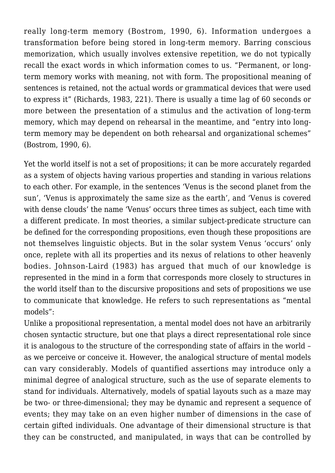really long-term memory (Bostrom, 1990, 6). Information undergoes a transformation before being stored in long-term memory. Barring conscious memorization, which usually involves extensive repetition, we do not typically recall the exact words in which information comes to us. "Permanent, or longterm memory works with meaning, not with form. The propositional meaning of sentences is retained, not the actual words or grammatical devices that were used to express it" (Richards, 1983, 221). There is usually a time lag of 60 seconds or more between the presentation of a stimulus and the activation of long-term memory, which may depend on rehearsal in the meantime, and "entry into longterm memory may be dependent on both rehearsal and organizational schemes" (Bostrom, 1990, 6).

Yet the world itself is not a set of propositions; it can be more accurately regarded as a system of objects having various properties and standing in various relations to each other. For example, in the sentences 'Venus is the second planet from the sun', 'Venus is approximately the same size as the earth', and 'Venus is covered with dense clouds' the name 'Venus' occurs three times as subject, each time with a different predicate. In most theories, a similar subject-predicate structure can be defined for the corresponding propositions, even though these propositions are not themselves linguistic objects. But in the solar system Venus 'occurs' only once, replete with all its properties and its nexus of relations to other heavenly bodies. Johnson-Laird (1983) has argued that much of our knowledge is represented in the mind in a form that corresponds more closely to structures in the world itself than to the discursive propositions and sets of propositions we use to communicate that knowledge. He refers to such representations as "mental models":

Unlike a propositional representation, a mental model does not have an arbitrarily chosen syntactic structure, but one that plays a direct representational role since it is analogous to the structure of the corresponding state of affairs in the world – as we perceive or conceive it. However, the analogical structure of mental models can vary considerably. Models of quantified assertions may introduce only a minimal degree of analogical structure, such as the use of separate elements to stand for individuals. Alternatively, models of spatial layouts such as a maze may be two- or three-dimensional; they may be dynamic and represent a sequence of events; they may take on an even higher number of dimensions in the case of certain gifted individuals. One advantage of their dimensional structure is that they can be constructed, and manipulated, in ways that can be controlled by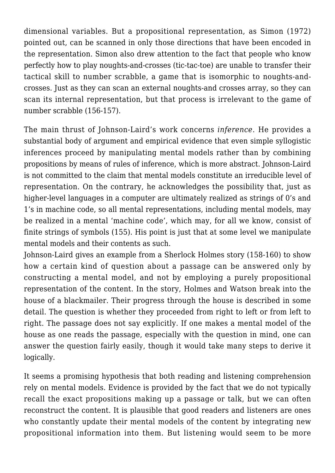dimensional variables. But a propositional representation, as Simon (1972) pointed out, can be scanned in only those directions that have been encoded in the representation. Simon also drew attention to the fact that people who know perfectly how to play noughts-and-crosses (tic-tac-toe) are unable to transfer their tactical skill to number scrabble, a game that is isomorphic to noughts-andcrosses. Just as they can scan an external noughts-and crosses array, so they can scan its internal representation, but that process is irrelevant to the game of number scrabble (156-157).

The main thrust of Johnson-Laird's work concerns *inference*. He provides a substantial body of argument and empirical evidence that even simple syllogistic inferences proceed by manipulating mental models rather than by combining propositions by means of rules of inference, which is more abstract. Johnson-Laird is not committed to the claim that mental models constitute an irreducible level of representation. On the contrary, he acknowledges the possibility that, just as higher-level languages in a computer are ultimately realized as strings of 0's and 1's in machine code, so all mental representations, including mental models, may be realized in a mental 'machine code', which may, for all we know, consist of finite strings of symbols (155). His point is just that at some level we manipulate mental models and their contents as such.

Johnson-Laird gives an example from a Sherlock Holmes story (158-160) to show how a certain kind of question about a passage can be answered only by constructing a mental model, and not by employing a purely propositional representation of the content. In the story, Holmes and Watson break into the house of a blackmailer. Their progress through the house is described in some detail. The question is whether they proceeded from right to left or from left to right. The passage does not say explicitly. If one makes a mental model of the house as one reads the passage, especially with the question in mind, one can answer the question fairly easily, though it would take many steps to derive it logically.

It seems a promising hypothesis that both reading and listening comprehension rely on mental models. Evidence is provided by the fact that we do not typically recall the exact propositions making up a passage or talk, but we can often reconstruct the content. It is plausible that good readers and listeners are ones who constantly update their mental models of the content by integrating new propositional information into them. But listening would seem to be more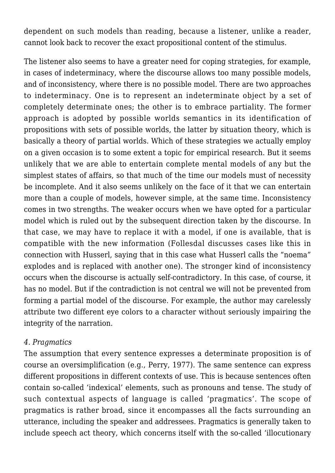dependent on such models than reading, because a listener, unlike a reader, cannot look back to recover the exact propositional content of the stimulus.

The listener also seems to have a greater need for coping strategies, for example, in cases of indeterminacy, where the discourse allows too many possible models, and of inconsistency, where there is no possible model. There are two approaches to indeterminacy. One is to represent an indeterminate object by a set of completely determinate ones; the other is to embrace partiality. The former approach is adopted by possible worlds semantics in its identification of propositions with sets of possible worlds, the latter by situation theory, which is basically a theory of partial worlds. Which of these strategies we actually employ on a given occasion is to some extent a topic for empirical research. But it seems unlikely that we are able to entertain complete mental models of any but the simplest states of affairs, so that much of the time our models must of necessity be incomplete. And it also seems unlikely on the face of it that we can entertain more than a couple of models, however simple, at the same time. Inconsistency comes in two strengths. The weaker occurs when we have opted for a particular model which is ruled out by the subsequent direction taken by the discourse. In that case, we may have to replace it with a model, if one is available, that is compatible with the new information (Follesdal discusses cases like this in connection with Husserl, saying that in this case what Husserl calls the "noema" explodes and is replaced with another one). The stronger kind of inconsistency occurs when the discourse is actually self-contradictory. In this case, of course, it has no model. But if the contradiction is not central we will not be prevented from forming a partial model of the discourse. For example, the author may carelessly attribute two different eye colors to a character without seriously impairing the integrity of the narration.

#### *4. Pragmatics*

The assumption that every sentence expresses a determinate proposition is of course an oversimplification (e.g., Perry, 1977). The same sentence can express different propositions in different contexts of use. This is because sentences often contain so-called 'indexical' elements, such as pronouns and tense. The study of such contextual aspects of language is called 'pragmatics'. The scope of pragmatics is rather broad, since it encompasses all the facts surrounding an utterance, including the speaker and addressees. Pragmatics is generally taken to include speech act theory, which concerns itself with the so-called 'illocutionary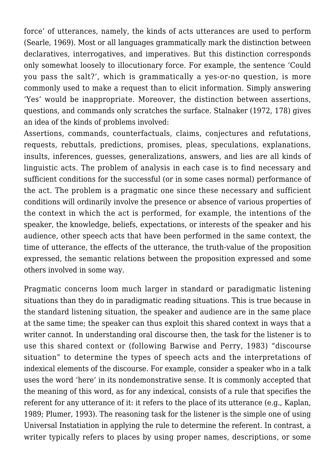force' of utterances, namely, the kinds of acts utterances are used to perform (Searle, 1969). Most or all languages grammatically mark the distinction between declaratives, interrogatives, and imperatives. But this distinction corresponds only somewhat loosely to illocutionary force. For example, the sentence 'Could you pass the salt?', which is grammatically a yes-or-no question, is more commonly used to make a request than to elicit information. Simply answering 'Yes' would be inappropriate. Moreover, the distinction between assertions, questions, and commands only scratches the surface. Stalnaker (1972, 178) gives an idea of the kinds of problems involved:

Assertions, commands, counterfactuals, claims, conjectures and refutations, requests, rebuttals, predictions, promises, pleas, speculations, explanations, insults, inferences, guesses, generalizations, answers, and lies are all kinds of linguistic acts. The problem of analysis in each case is to find necessary and sufficient conditions for the successful (or in some cases normal) performance of the act. The problem is a pragmatic one since these necessary and sufficient conditions will ordinarily involve the presence or absence of various properties of the context in which the act is performed, for example, the intentions of the speaker, the knowledge, beliefs, expectations, or interests of the speaker and his audience, other speech acts that have been performed in the same context, the time of utterance, the effects of the utterance, the truth-value of the proposition expressed, the semantic relations between the proposition expressed and some others involved in some way.

Pragmatic concerns loom much larger in standard or paradigmatic listening situations than they do in paradigmatic reading situations. This is true because in the standard listening situation, the speaker and audience are in the same place at the same time; the speaker can thus exploit this shared context in ways that a writer cannot. In understanding oral discourse then, the task for the listener is to use this shared context or (following Barwise and Perry, 1983) "discourse situation" to determine the types of speech acts and the interpretations of indexical elements of the discourse. For example, consider a speaker who in a talk uses the word 'here' in its nondemonstrative sense. It is commonly accepted that the meaning of this word, as for any indexical, consists of a rule that specifies the referent for any utterance of it: it refers to the place of its utterance (e.g., Kaplan, 1989; Plumer, 1993). The reasoning task for the listener is the simple one of using Universal Instatiation in applying the rule to determine the referent. In contrast, a writer typically refers to places by using proper names, descriptions, or some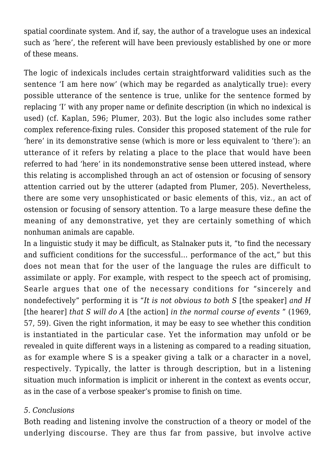spatial coordinate system. And if, say, the author of a travelogue uses an indexical such as 'here', the referent will have been previously established by one or more of these means.

The logic of indexicals includes certain straightforward validities such as the sentence 'I am here now' (which may be regarded as analytically true): every possible utterance of the sentence is true, unlike for the sentence formed by replacing 'I' with any proper name or definite description (in which no indexical is used) (cf. Kaplan, 596; Plumer, 203). But the logic also includes some rather complex reference-fixing rules. Consider this proposed statement of the rule for 'here' in its demonstrative sense (which is more or less equivalent to 'there'): an utterance of it refers by relating a place to the place that would have been referred to had 'here' in its nondemonstrative sense been uttered instead, where this relating is accomplished through an act of ostension or focusing of sensory attention carried out by the utterer (adapted from Plumer, 205). Nevertheless, there are some very unsophisticated or basic elements of this, viz., an act of ostension or focusing of sensory attention. To a large measure these define the meaning of any demonstrative, yet they are certainly something of which nonhuman animals are capable.

In a linguistic study it may be difficult, as Stalnaker puts it, "to find the necessary and sufficient conditions for the successful… performance of the act," but this does not mean that for the user of the language the rules are difficult to assimilate or apply. For example, with respect to the speech act of promising, Searle argues that one of the necessary conditions for "sincerely and nondefectively" performing it is "*It is not obvious to both S* [the speaker] *and H* [the hearer] *that S will do A* [the action] *in the normal course of events* " (1969, 57, 59). Given the right information, it may be easy to see whether this condition is instantiated in the particular case. Yet the information may unfold or be revealed in quite different ways in a listening as compared to a reading situation, as for example where S is a speaker giving a talk or a character in a novel, respectively. Typically, the latter is through description, but in a listening situation much information is implicit or inherent in the context as events occur, as in the case of a verbose speaker's promise to finish on time.

#### *5. Conclusions*

Both reading and listening involve the construction of a theory or model of the underlying discourse. They are thus far from passive, but involve active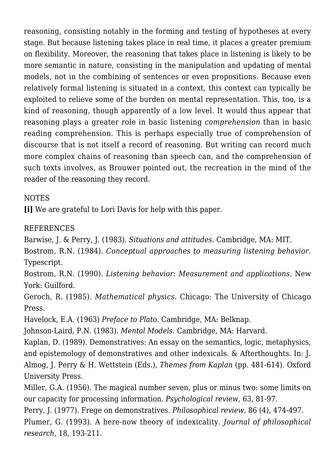reasoning, consisting notably in the forming and testing of hypotheses at every stage. But because listening takes place in real time, it places a greater premium on flexibility. Moreover, the reasoning that takes place in listening is likely to be more semantic in nature, consisting in the manipulation and updating of mental models, not in the combining of sentences or even propositions. Because even relatively formal listening is situated in a context, this context can typically be exploited to relieve some of the burden on mental representation. This, too, is a kind of reasoning, though apparently of a low level. It would thus appear that reasoning plays a greater role in basic listening *comprehension* than in basic reading comprehension. This is perhaps especially true of comprehension of discourse that is not itself a record of reasoning. But writing can record much more complex chains of reasoning than speech can, and the comprehension of such texts involves, as Brouwer pointed out, the recreation in the mind of the reader of the reasoning they record.

## NOTES

**[i]** We are grateful to Lori Davis for help with this paper.

## REFERENCES

Barwise, J. & Perry, J. (1983). *Situations and attitudes.* Cambridge, MA: MIT.

Bostrom, R.N. (1984). *Conceptual approaches to measuring listening behavior.* Typescript.

Bostrom, R.N. (1990). *Listening behavior: Measurement and applications*. New York: Guilford.

Geroch, R. (1985). *Mathematical physics.* Chicago: The University of Chicago Press.

Havelock, E.A. (1963) *Preface to Plato*. Cambridge, MA: Belknap.

Johnson-Laird, P.N. (1983). *Mental Models*. Cambridge, MA: Harvard.

Kaplan, D. (1989). Demonstratives: An essay on the semantics, logic, metaphysics, and epistemology of demonstratives and other indexicals. & Afterthoughts. In: J. Almog, J. Perry & H. Wettstein (Eds.), *Themes from Kaplan* (pp. 481-614). Oxford University Press.

Miller, G.A. (1956). The magical number seven, plus or minus two: some limits on our capacity for processing information. *Psychological review*, 63, 81-97.

Perry, J. (1977). Frege on demonstratives. *Philosophical review,* 86 (4), 474-497. Plumer, G. (1993). A here-now theory of indexicality. *Journal of philosophical research*, 18, 193-211.